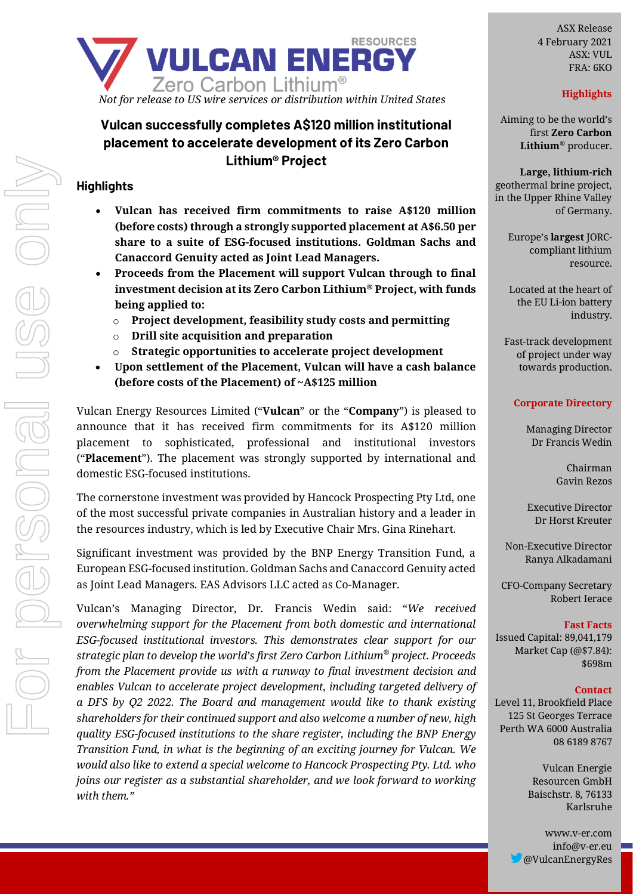

# **Vulcan successfully completes A\$120 million institutional placement to accelerate development of its Zero Carbon Lithium® Project**

## **Highlights**

- **Vulcan has received firm commitments to raise A\$120 million (before costs) through a strongly supported placement at A\$6.50 per share to a suite of ESG-focused institutions. Goldman Sachs and Canaccord Genuity acted as Joint Lead Managers.**
- **Proceeds from the Placement will support Vulcan through to final investment decision at its Zero Carbon Lithium® Project, with funds being applied to:**
	- o **Project development, feasibility study costs and permitting**
	- o **Drill site acquisition and preparation**
	- o **Strategic opportunities to accelerate project development**
- **Upon settlement of the Placement, Vulcan will have a cash balance (before costs of the Placement) of ~A\$125 million**

Vulcan Energy Resources Limited ("**Vulcan**" or the "**Company**") is pleased to announce that it has received firm commitments for its A\$120 million placement to sophisticated, professional and institutional investors ("**Placement**"). The placement was strongly supported by international and domestic ESG-focused institutions.

The cornerstone investment was provided by Hancock Prospecting Pty Ltd, one of the most successful private companies in Australian history and a leader in the resources industry, which is led by Executive Chair Mrs. Gina Rinehart.

Significant investment was provided by the BNP Energy Transition Fund, a European ESG-focused institution. Goldman Sachs and Canaccord Genuity acted as Joint Lead Managers. EAS Advisors LLC acted as Co-Manager.

Vulcan's Managing Director, Dr. Francis Wedin said: "*We received overwhelming support for the Placement from both domestic and international ESG-focused institutional investors. This demonstrates clear support for our strategic plan to develop the world's first Zero Carbon Lithium® project. Proceeds from the Placement provide us with a runway to final investment decision and enables Vulcan to accelerate project development, including targeted delivery of a DFS by Q2 2022. The Board and management would like to thank existing shareholders for their continued support and also welcome a number of new, high quality ESG-focused institutions to the share register, including the BNP Energy Transition Fund, in what is the beginning of an exciting journey for Vulcan. We would also like to extend a special welcome to Hancock Prospecting Pty. Ltd. who joins our register as a substantial shareholder, and we look forward to working with them."*

ASX Release 4 February 2021 ASX: VUL FRA: 6KO

## **Highlights**

Aiming to be the world's first **Zero Carbon Lithium***®* producer.

**Large, lithium-rich** geothermal brine project, in the Upper Rhine Valley of Germany.

> Europe's **largest** JORCcompliant lithium resource.

> Located at the heart of the EU Li-ion battery industry.

Fast-track development of project under way towards production.

#### **Corporate Directory**

Managing Director Dr Francis Wedin

> Chairman Gavin Rezos

Executive Director Dr Horst Kreuter

Non-Executive Director Ranya Alkadamani

CFO-Company Secretary Robert Ierace

#### **Fast Facts**

Issued Capital: 89,041,179 Market Cap (@\$7.84): \$698m

#### **Contact**

Level 11, Brookfield Place 125 St Georges Terrace Perth WA 6000 Australia 08 6189 8767

> Vulcan Energie Resourcen GmbH Baischstr. 8, 76133 Karlsruhe

www.v-er.com info@v-er.eu @VulcanEnergyRes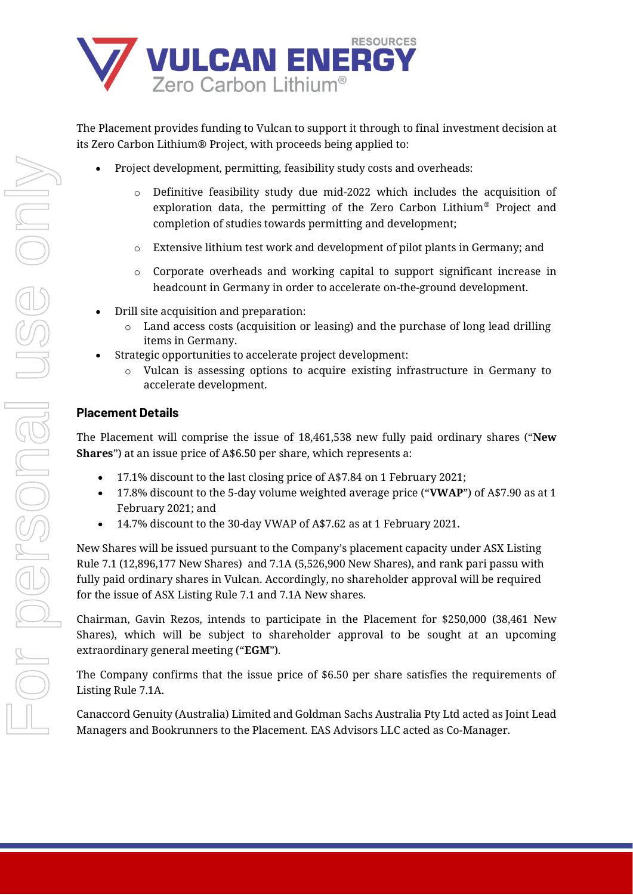

The Placement provides funding to Vulcan to support it through to final investment decision at its Zero Carbon Lithium® Project, with proceeds being applied to:

- Project development, permitting, feasibility study costs and overheads:
	- $\circ$  Definitive feasibility study due mid-2022 which includes the acquisition of exploration data, the permitting of the Zero Carbon Lithium® Project and completion of studies towards permitting and development;
	- $\circ$  Extensive lithium test work and development of pilot plants in Germany; and
	- o Corporate overheads and working capital to support significant increase in headcount in Germany in order to accelerate on-the-ground development.
- Drill site acquisition and preparation:
	- o Land access costs (acquisition or leasing) and the purchase of long lead drilling items in Germany.
- Strategic opportunities to accelerate project development:
	- o Vulcan is assessing options to acquire existing infrastructure in Germany to accelerate development.

## **Placement Details**

The Placement will comprise the issue of 18,461,538 new fully paid ordinary shares ("**New Shares**") at an issue price of A\$6.50 per share, which represents a:

- 17.1% discount to the last closing price of A\$7.84 on 1 February 2021;
- 17.8% discount to the 5-day volume weighted average price ("**VWAP**") of A\$7.90 as at 1 February 2021; and
- 14.7% discount to the 30-day VWAP of A\$7.62 as at 1 February 2021.

New Shares will be issued pursuant to the Company's placement capacity under ASX Listing Rule 7.1 (12,896,177 New Shares) and 7.1A (5,526,900 New Shares), and rank pari passu with fully paid ordinary shares in Vulcan. Accordingly, no shareholder approval will be required for the issue of ASX Listing Rule 7.1 and 7.1A New shares.

Chairman, Gavin Rezos, intends to participate in the Placement for \$250,000 (38,461 New Shares), which will be subject to shareholder approval to be sought at an upcoming extraordinary general meeting ("**EGM**").

The Company confirms that the issue price of \$6.50 per share satisfies the requirements of Listing Rule 7.1A.

Canaccord Genuity (Australia) Limited and Goldman Sachs Australia Pty Ltd acted as Joint Lead Managers and Bookrunners to the Placement. EAS Advisors LLC acted as Co-Manager.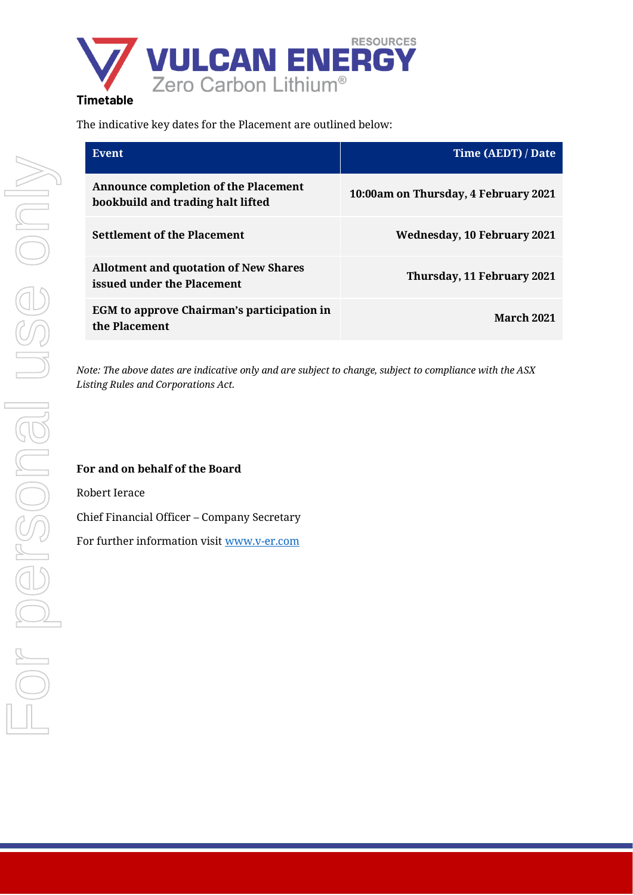

## The indicative key dates for the Placement are outlined below:

| Event                                                                            | Time (AEDT) / Date                   |
|----------------------------------------------------------------------------------|--------------------------------------|
| <b>Announce completion of the Placement</b><br>bookbuild and trading halt lifted | 10:00am on Thursday, 4 February 2021 |
| <b>Settlement of the Placement</b>                                               | <b>Wednesday, 10 February 2021</b>   |
| <b>Allotment and quotation of New Shares</b><br>issued under the Placement       | Thursday, 11 February 2021           |
| EGM to approve Chairman's participation in<br>the Placement                      | <b>March 2021</b>                    |

*Note: The above dates are indicative only and are subject to change, subject to compliance with the ASX Listing Rules and Corporations Act.* 

## **For and on behalf of the Board**

Robert Ierace

Chief Financial Officer – Company Secretary

For further information visit [www.v-er.com](http://www.v-er.com/)